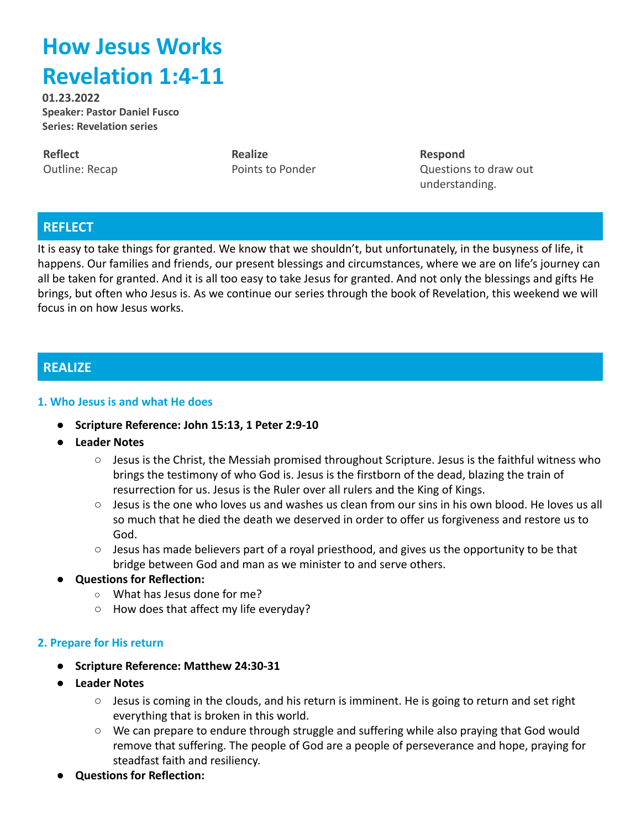# **How Jesus Works Revelation 1:4-11**

**01.23.2022 Speaker: Pastor Daniel Fusco Series: Revelation series**

**Reflect** Outline: Recap **Realize** Points to Ponder **Respond** Questions to draw out understanding.

## **REFLECT**

It is easy to take things for granted. We know that we shouldn't, but unfortunately, in the busyness of life, it happens. Our families and friends, our present blessings and circumstances, where we are on life's journey can all be taken for granted. And it is all too easy to take Jesus for granted. And not only the blessings and gifts He brings, but often who Jesus is. As we continue our series through the book of Revelation, this weekend we will focus in on how Jesus works.

## **REALIZE**

#### **1. Who Jesus is and what He does**

- **● Scripture Reference: John 15:13, 1 Peter 2:9-10**
- **● Leader Notes**
	- Jesus is the Christ, the Messiah promised throughout Scripture. Jesus is the faithful witness who brings the testimony of who God is. Jesus is the firstborn of the dead, blazing the train of resurrection for us. Jesus is the Ruler over all rulers and the King of Kings.
	- Jesus is the one who loves us and washes us clean from our sins in his own blood. He loves us all so much that he died the death we deserved in order to offer us forgiveness and restore us to God.
	- $\circ$  Jesus has made believers part of a royal priesthood, and gives us the opportunity to be that bridge between God and man as we minister to and serve others.
- **Questions for Reflection:**
	- What has Jesus done for me?
	- How does that affect my life everyday?

#### **2. Prepare for His return**

- **● Scripture Reference: Matthew 24:30-31**
- **● Leader Notes**
	- Jesus is coming in the clouds, and his return is imminent. He is going to return and set right everything that is broken in this world.
	- We can prepare to endure through struggle and suffering while also praying that God would remove that suffering. The people of God are a people of perseverance and hope, praying for steadfast faith and resiliency.
- **Questions for Reflection:**